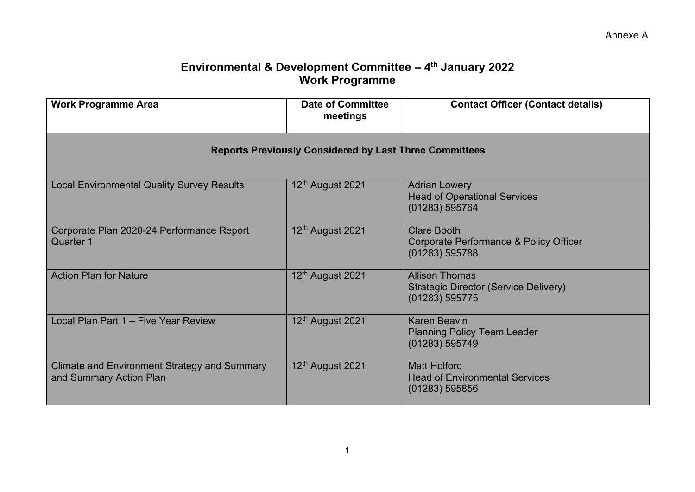## **Environmental & Development Committee – 4th January 2022 Work Programme**

| <b>Work Programme Area</b>                                                     | <b>Date of Committee</b><br>meetings | <b>Contact Officer (Contact details)</b>                                                |  |  |
|--------------------------------------------------------------------------------|--------------------------------------|-----------------------------------------------------------------------------------------|--|--|
| <b>Reports Previously Considered by Last Three Committees</b>                  |                                      |                                                                                         |  |  |
| <b>Local Environmental Quality Survey Results</b>                              | 12th August 2021                     | <b>Adrian Lowery</b><br><b>Head of Operational Services</b><br>(01283) 595764           |  |  |
| Corporate Plan 2020-24 Performance Report<br><b>Quarter 1</b>                  | 12 <sup>th</sup> August 2021         | <b>Clare Booth</b><br>Corporate Performance & Policy Officer<br>(01283) 595788          |  |  |
| <b>Action Plan for Nature</b>                                                  | 12th August 2021                     | <b>Allison Thomas</b><br><b>Strategic Director (Service Delivery)</b><br>(01283) 595775 |  |  |
| Local Plan Part 1 - Five Year Review                                           | 12 <sup>th</sup> August 2021         | <b>Karen Beavin</b><br><b>Planning Policy Team Leader</b><br>(01283) 595749             |  |  |
| <b>Climate and Environment Strategy and Summary</b><br>and Summary Action Plan | 12 <sup>th</sup> August 2021         | <b>Matt Holford</b><br><b>Head of Environmental Services</b><br>(01283) 595856          |  |  |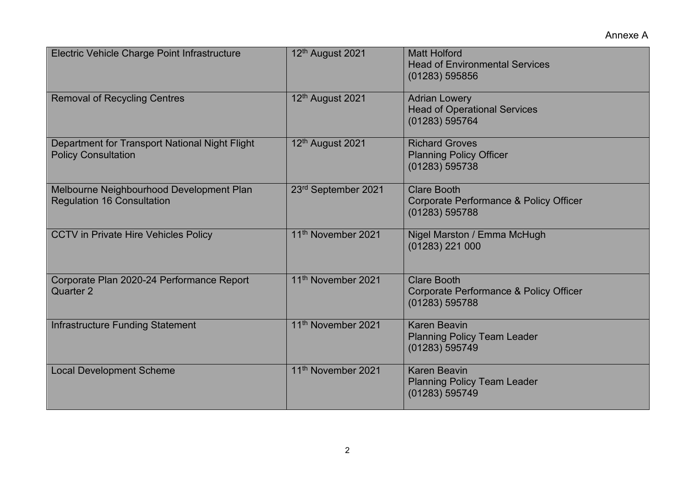Annexe A

| Electric Vehicle Charge Point Infrastructure                                  | 12th August 2021               | <b>Matt Holford</b><br><b>Head of Environmental Services</b><br>(01283) 595856 |
|-------------------------------------------------------------------------------|--------------------------------|--------------------------------------------------------------------------------|
| <b>Removal of Recycling Centres</b>                                           | 12th August 2021               | <b>Adrian Lowery</b><br><b>Head of Operational Services</b><br>(01283) 595764  |
| Department for Transport National Night Flight<br><b>Policy Consultation</b>  | 12th August 2021               | <b>Richard Groves</b><br><b>Planning Policy Officer</b><br>(01283) 595738      |
| Melbourne Neighbourhood Development Plan<br><b>Regulation 16 Consultation</b> | 23rd September 2021            | <b>Clare Booth</b><br>Corporate Performance & Policy Officer<br>(01283) 595788 |
| <b>CCTV in Private Hire Vehicles Policy</b>                                   | 11 <sup>th</sup> November 2021 | Nigel Marston / Emma McHugh<br>(01283) 221 000                                 |
| Corporate Plan 2020-24 Performance Report<br>Quarter 2                        | 11 <sup>th</sup> November 2021 | <b>Clare Booth</b><br>Corporate Performance & Policy Officer<br>(01283) 595788 |
| Infrastructure Funding Statement                                              | 11 <sup>th</sup> November 2021 | <b>Karen Beavin</b><br><b>Planning Policy Team Leader</b><br>(01283) 595749    |
| <b>Local Development Scheme</b>                                               | 11 <sup>th</sup> November 2021 | <b>Karen Beavin</b><br><b>Planning Policy Team Leader</b><br>(01283) 595749    |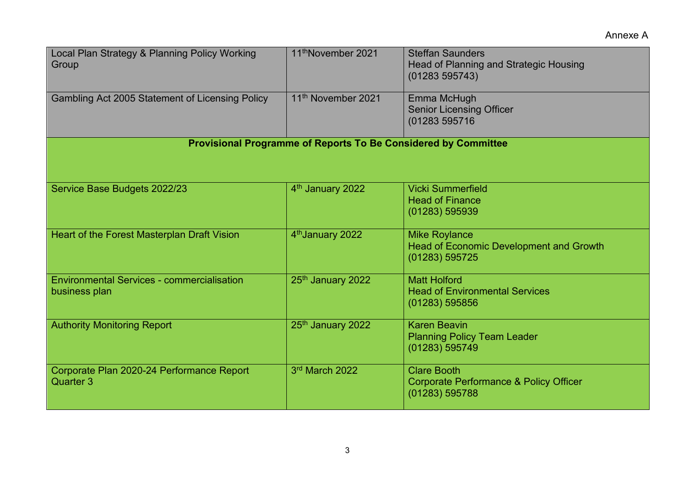| Local Plan Strategy & Planning Policy Working<br>Group             | 11 <sup>th</sup> November 2021 | <b>Steffan Saunders</b><br><b>Head of Planning and Strategic Housing</b><br>(01283595743) |  |  |
|--------------------------------------------------------------------|--------------------------------|-------------------------------------------------------------------------------------------|--|--|
| Gambling Act 2005 Statement of Licensing Policy                    | 11 <sup>th</sup> November 2021 | Emma McHugh<br><b>Senior Licensing Officer</b><br>(01283 595716                           |  |  |
| Provisional Programme of Reports To Be Considered by Committee     |                                |                                                                                           |  |  |
| Service Base Budgets 2022/23                                       | 4 <sup>th</sup> January 2022   | <b>Vicki Summerfield</b><br><b>Head of Finance</b><br>(01283) 595939                      |  |  |
| Heart of the Forest Masterplan Draft Vision                        | 4 <sup>th</sup> January 2022   | <b>Mike Roylance</b><br><b>Head of Economic Development and Growth</b><br>(01283) 595725  |  |  |
| <b>Environmental Services - commercialisation</b><br>business plan | 25th January 2022              | <b>Matt Holford</b><br><b>Head of Environmental Services</b><br>(01283) 595856            |  |  |
| <b>Authority Monitoring Report</b>                                 | 25th January 2022              | <b>Karen Beavin</b><br><b>Planning Policy Team Leader</b><br>(01283) 595749               |  |  |
| Corporate Plan 2020-24 Performance Report<br><b>Quarter 3</b>      | 3rd March 2022                 | <b>Clare Booth</b><br>Corporate Performance & Policy Officer<br>(01283) 595788            |  |  |